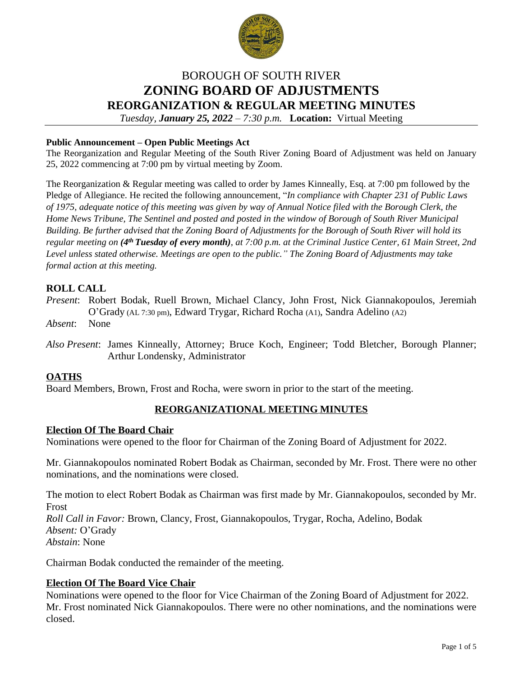

# BOROUGH OF SOUTH RIVER **ZONING BOARD OF ADJUSTMENTS REORGANIZATION & REGULAR MEETING MINUTES** *Tuesday, January 25, 2022 – 7:30 p.m.* **Location:** Virtual Meeting

#### **Public Announcement – Open Public Meetings Act**

The Reorganization and Regular Meeting of the South River Zoning Board of Adjustment was held on January 25, 2022 commencing at 7:00 pm by virtual meeting by Zoom.

The Reorganization & Regular meeting was called to order by James Kinneally, Esq. at 7:00 pm followed by the Pledge of Allegiance. He recited the following announcement, "*In compliance with Chapter 231 of Public Laws of 1975, adequate notice of this meeting was given by way of Annual Notice filed with the Borough Clerk, the Home News Tribune, The Sentinel and posted and posted in the window of Borough of South River Municipal Building. Be further advised that the Zoning Board of Adjustments for the Borough of South River will hold its regular meeting on (4 th Tuesday of every month), at 7:00 p.m. at the Criminal Justice Center, 61 Main Street, 2nd Level unless stated otherwise. Meetings are open to the public." The Zoning Board of Adjustments may take formal action at this meeting.*

# **ROLL CALL**

*Present*: Robert Bodak, Ruell Brown, Michael Clancy, John Frost, Nick Giannakopoulos, Jeremiah O'Grady (AL 7:30 pm), Edward Trygar, Richard Rocha (A1), Sandra Adelino (A2)

*Absent*: None

*Also Present*: James Kinneally, Attorney; Bruce Koch, Engineer; Todd Bletcher, Borough Planner; Arthur Londensky, Administrator

#### **OATHS**

Board Members, Brown, Frost and Rocha, were sworn in prior to the start of the meeting.

# **REORGANIZATIONAL MEETING MINUTES**

#### **Election Of The Board Chair**

Nominations were opened to the floor for Chairman of the Zoning Board of Adjustment for 2022.

Mr. Giannakopoulos nominated Robert Bodak as Chairman, seconded by Mr. Frost. There were no other nominations, and the nominations were closed.

The motion to elect Robert Bodak as Chairman was first made by Mr. Giannakopoulos, seconded by Mr. Frost *Roll Call in Favor:* Brown, Clancy, Frost, Giannakopoulos, Trygar, Rocha, Adelino, Bodak *Absent:* O'Grady *Abstain*: None

Chairman Bodak conducted the remainder of the meeting.

#### **Election Of The Board Vice Chair**

Nominations were opened to the floor for Vice Chairman of the Zoning Board of Adjustment for 2022. Mr. Frost nominated Nick Giannakopoulos. There were no other nominations, and the nominations were closed.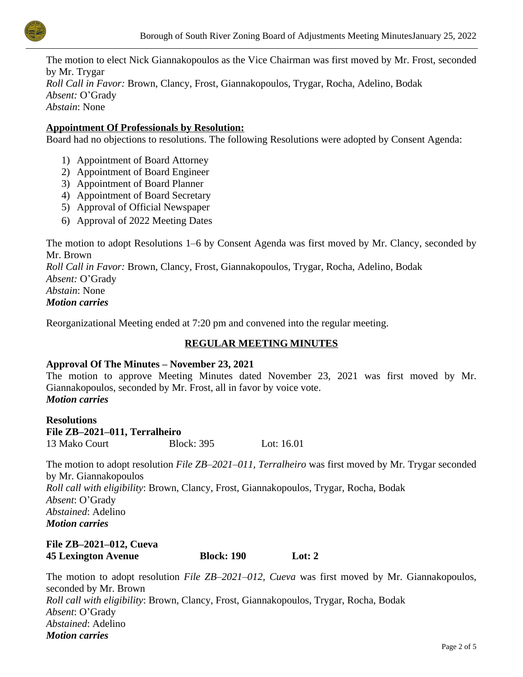

The motion to elect Nick Giannakopoulos as the Vice Chairman was first moved by Mr. Frost, seconded by Mr. Trygar *Roll Call in Favor:* Brown, Clancy, Frost, Giannakopoulos, Trygar, Rocha, Adelino, Bodak *Absent:* O'Grady *Abstain*: None

#### **Appointment Of Professionals by Resolution:**

Board had no objections to resolutions. The following Resolutions were adopted by Consent Agenda:

- 1) Appointment of Board Attorney
- 2) Appointment of Board Engineer
- 3) Appointment of Board Planner
- 4) Appointment of Board Secretary
- 5) Approval of Official Newspaper
- 6) Approval of 2022 Meeting Dates

The motion to adopt Resolutions 1–6 by Consent Agenda was first moved by Mr. Clancy, seconded by Mr. Brown

*Roll Call in Favor:* Brown, Clancy, Frost, Giannakopoulos, Trygar, Rocha, Adelino, Bodak *Absent:* O'Grady

*Abstain*: None

*Motion carries*

Reorganizational Meeting ended at 7:20 pm and convened into the regular meeting.

# **REGULAR MEETING MINUTES**

#### **Approval Of The Minutes – November 23, 2021**

The motion to approve Meeting Minutes dated November 23, 2021 was first moved by Mr. Giannakopoulos, seconded by Mr. Frost, all in favor by voice vote. *Motion carries*

**Resolutions File ZB–2021–011, Terralheiro** 13 Mako Court Block: 395 Lot: 16.01

The motion to adopt resolution *File ZB–2021–011, Terralheiro* was first moved by Mr. Trygar seconded by Mr. Giannakopoulos *Roll call with eligibility*: Brown, Clancy, Frost, Giannakopoulos, Trygar, Rocha, Bodak *Absent*: O'Grady *Abstained*: Adelino *Motion carries*

#### **File ZB–2021–012, Cueva 45 Lexington Avenue Block: 190 Lot: 2**

The motion to adopt resolution *File ZB–2021–012, Cueva* was first moved by Mr. Giannakopoulos, seconded by Mr. Brown *Roll call with eligibility*: Brown, Clancy, Frost, Giannakopoulos, Trygar, Rocha, Bodak *Absent*: O'Grady *Abstained*: Adelino *Motion carries*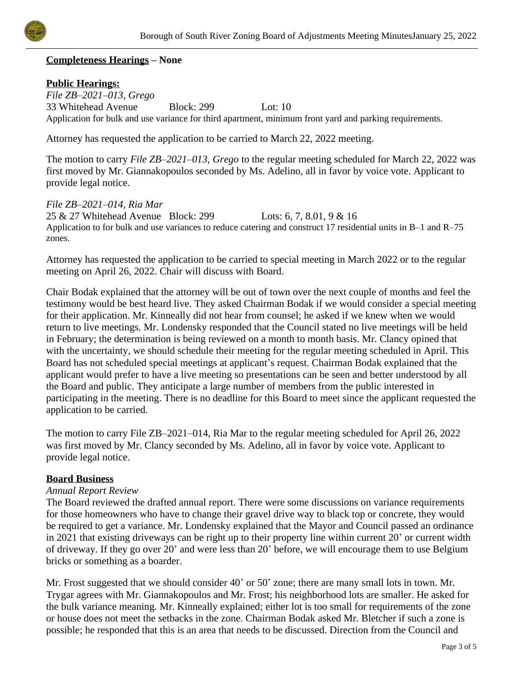

# **Completeness Hearings – None**

# **Public Hearings:**

*File ZB–2021–013, Grego* 33 Whitehead Avenue Block: 299 Lot: 10 Application for bulk and use variance for third apartment, minimum front yard and parking requirements.

Attorney has requested the application to be carried to March 22, 2022 meeting.

The motion to carry *File ZB–2021–013, Grego* to the regular meeting scheduled for March 22, 2022 was first moved by Mr. Giannakopoulos seconded by Ms. Adelino, all in favor by voice vote. Applicant to provide legal notice.

#### *File ZB–2021–014, Ria Mar*

25 & 27 Whitehead Avenue Block: 299 Lots: 6, 7, 8.01, 9 & 16 Application to for bulk and use variances to reduce catering and construct 17 residential units in B–1 and R–75 zones.

Attorney has requested the application to be carried to special meeting in March 2022 or to the regular meeting on April 26, 2022. Chair will discuss with Board.

Chair Bodak explained that the attorney will be out of town over the next couple of months and feel the testimony would be best heard live. They asked Chairman Bodak if we would consider a special meeting for their application. Mr. Kinneally did not hear from counsel; he asked if we knew when we would return to live meetings. Mr. Londensky responded that the Council stated no live meetings will be held in February; the determination is being reviewed on a month to month basis. Mr. Clancy opined that with the uncertainty, we should schedule their meeting for the regular meeting scheduled in April. This Board has not scheduled special meetings at applicant's request. Chairman Bodak explained that the applicant would prefer to have a live meeting so presentations can be seen and better understood by all the Board and public. They anticipate a large number of members from the public interested in participating in the meeting. There is no deadline for this Board to meet since the applicant requested the application to be carried.

The motion to carry File ZB–2021–014, Ria Mar to the regular meeting scheduled for April 26, 2022 was first moved by Mr. Clancy seconded by Ms. Adelino, all in favor by voice vote. Applicant to provide legal notice.

# **Board Business**

#### *Annual Report Review*

The Board reviewed the drafted annual report. There were some discussions on variance requirements for those homeowners who have to change their gravel drive way to black top or concrete, they would be required to get a variance. Mr. Londensky explained that the Mayor and Council passed an ordinance in 2021 that existing driveways can be right up to their property line within current 20' or current width of driveway. If they go over 20' and were less than 20' before, we will encourage them to use Belgium bricks or something as a boarder.

Mr. Frost suggested that we should consider 40' or 50' zone; there are many small lots in town. Mr. Trygar agrees with Mr. Giannakopoulos and Mr. Frost; his neighborhood lots are smaller. He asked for the bulk variance meaning. Mr. Kinneally explained; either lot is too small for requirements of the zone or house does not meet the setbacks in the zone. Chairman Bodak asked Mr. Bletcher if such a zone is possible; he responded that this is an area that needs to be discussed. Direction from the Council and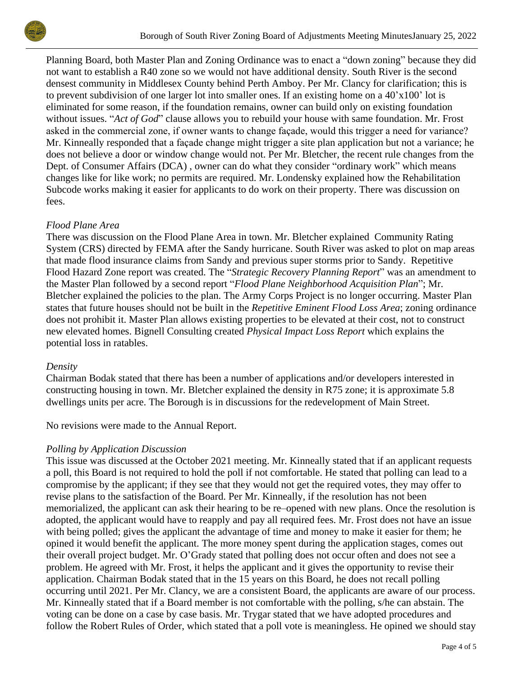

Planning Board, both Master Plan and Zoning Ordinance was to enact a "down zoning" because they did not want to establish a R40 zone so we would not have additional density. South River is the second densest community in Middlesex County behind Perth Amboy. Per Mr. Clancy for clarification; this is to prevent subdivision of one larger lot into smaller ones. If an existing home on a 40'x100' lot is eliminated for some reason, if the foundation remains, owner can build only on existing foundation without issues. "*Act of God*" clause allows you to rebuild your house with same foundation. Mr. Frost asked in the commercial zone, if owner wants to change façade, would this trigger a need for variance? Mr. Kinneally responded that a façade change might trigger a site plan application but not a variance; he does not believe a door or window change would not. Per Mr. Bletcher, the recent rule changes from the Dept. of Consumer Affairs (DCA) , owner can do what they consider "ordinary work" which means changes like for like work; no permits are required. Mr. Londensky explained how the Rehabilitation Subcode works making it easier for applicants to do work on their property. There was discussion on fees.

# *Flood Plane Area*

There was discussion on the Flood Plane Area in town. Mr. Bletcher explained Community Rating System (CRS) directed by FEMA after the Sandy hurricane. South River was asked to plot on map areas that made flood insurance claims from Sandy and previous super storms prior to Sandy. Repetitive Flood Hazard Zone report was created. The "*Strategic Recovery Planning Report*" was an amendment to the Master Plan followed by a second report "*Flood Plane Neighborhood Acquisition Plan*"; Mr. Bletcher explained the policies to the plan. The Army Corps Project is no longer occurring. Master Plan states that future houses should not be built in the *Repetitive Eminent Flood Loss Area*; zoning ordinance does not prohibit it. Master Plan allows existing properties to be elevated at their cost, not to construct new elevated homes. Bignell Consulting created *Physical Impact Loss Report* which explains the potential loss in ratables.

# *Density*

Chairman Bodak stated that there has been a number of applications and/or developers interested in constructing housing in town. Mr. Bletcher explained the density in R75 zone; it is approximate 5.8 dwellings units per acre. The Borough is in discussions for the redevelopment of Main Street.

No revisions were made to the Annual Report.

# *Polling by Application Discussion*

This issue was discussed at the October 2021 meeting. Mr. Kinneally stated that if an applicant requests a poll, this Board is not required to hold the poll if not comfortable. He stated that polling can lead to a compromise by the applicant; if they see that they would not get the required votes, they may offer to revise plans to the satisfaction of the Board. Per Mr. Kinneally, if the resolution has not been memorialized, the applicant can ask their hearing to be re–opened with new plans. Once the resolution is adopted, the applicant would have to reapply and pay all required fees. Mr. Frost does not have an issue with being polled; gives the applicant the advantage of time and money to make it easier for them; he opined it would benefit the applicant. The more money spent during the application stages, comes out their overall project budget. Mr. O'Grady stated that polling does not occur often and does not see a problem. He agreed with Mr. Frost, it helps the applicant and it gives the opportunity to revise their application. Chairman Bodak stated that in the 15 years on this Board, he does not recall polling occurring until 2021. Per Mr. Clancy, we are a consistent Board, the applicants are aware of our process. Mr. Kinneally stated that if a Board member is not comfortable with the polling, s/he can abstain. The voting can be done on a case by case basis. Mr. Trygar stated that we have adopted procedures and follow the Robert Rules of Order, which stated that a poll vote is meaningless. He opined we should stay